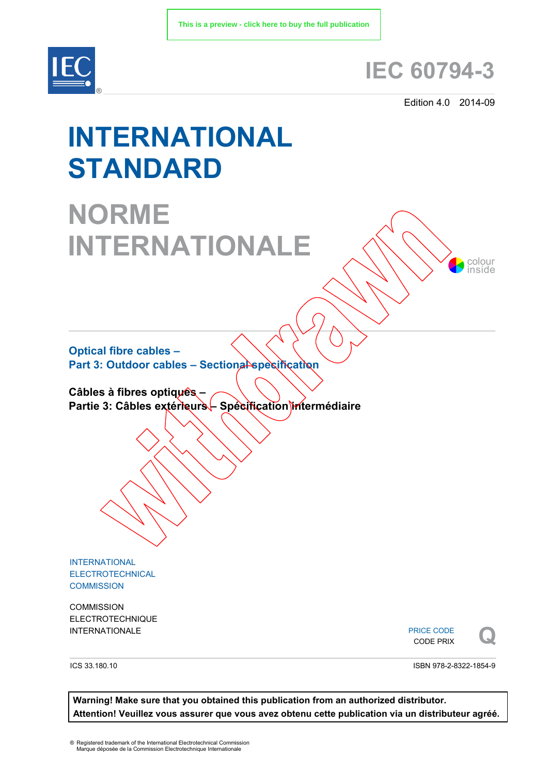

# **IEC 60794-3**

Edition 4.0 2014-09

colour inside

# **INTERNATIONAL STANDARD**

**NORME INTERNATIONALE**

**Optical fibre cables – Part 3: Outdoor cables – Sectional specification** 

Câbles à fibres optiques -Partie 3: Câbles extérieurs - Spécification intermédiaire

INTERNATIONAL **ELECTROTECHNICAL COMMISSION** 

**COMMISSION** ELECTROTECHNIQUE

INTERNATIONALE PRICE CODE PRIX PRICE CODE CODE PRIX



ICS 33.180.10

ISBN 978-2-8322-1854-9

**Warning! Make sure that you obtained this publication from an authorized distributor. Attention! Veuillez vous assurer que vous avez obtenu cette publication via un distributeur agréé.**

® Registered trademark of the International Electrotechnical Commission Marque déposée de la Commission Electrotechnique Internationale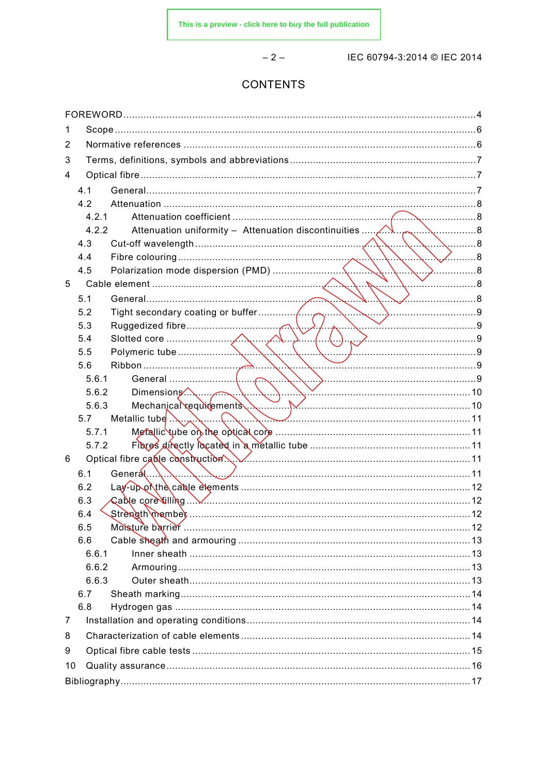$-2-$ 

IEC 60794-3:2014 © IEC 2014

# **CONTENTS**

| 1 |              |                                                                      |  |  |  |
|---|--------------|----------------------------------------------------------------------|--|--|--|
| 2 |              |                                                                      |  |  |  |
| 3 |              |                                                                      |  |  |  |
| 4 |              |                                                                      |  |  |  |
|   | 4.1          |                                                                      |  |  |  |
|   | 4.2          |                                                                      |  |  |  |
|   | 4.2.1        |                                                                      |  |  |  |
|   | 4.2.2        | Attenuation uniformity - Attenuation discontinuities<br><b>N</b> . 8 |  |  |  |
|   | 4.3          |                                                                      |  |  |  |
|   | 4.4          |                                                                      |  |  |  |
|   | 4.5          | $\left\langle \ldots \right\rangle$ 8                                |  |  |  |
| 5 |              |                                                                      |  |  |  |
|   | 5.1          |                                                                      |  |  |  |
|   | 5.2          |                                                                      |  |  |  |
|   | 5.3          |                                                                      |  |  |  |
|   | 5.4          |                                                                      |  |  |  |
|   | 5.5          |                                                                      |  |  |  |
|   | 5.6          |                                                                      |  |  |  |
|   | 5.6.1        |                                                                      |  |  |  |
|   | 5.6.2        | Dimensions<br>Mechanical requirements                                |  |  |  |
|   | 5.6.3        |                                                                      |  |  |  |
|   | 5.7          | <u>11</u><br>Metallic tube $\ldots$ , $\ldots$ , $\ldots$            |  |  |  |
|   | 5.7.1        |                                                                      |  |  |  |
|   | 5.7.2        |                                                                      |  |  |  |
| 6 |              |                                                                      |  |  |  |
|   | 6.1          | General                                                              |  |  |  |
|   | 6.2          |                                                                      |  |  |  |
|   | 6.3          |                                                                      |  |  |  |
|   | 6.4          |                                                                      |  |  |  |
|   | 6.5          |                                                                      |  |  |  |
|   | 6.6          |                                                                      |  |  |  |
|   | 6.6.1        |                                                                      |  |  |  |
|   | 6.6.2        |                                                                      |  |  |  |
|   | 6.6.3<br>6.7 |                                                                      |  |  |  |
|   | 6.8          |                                                                      |  |  |  |
| 7 |              |                                                                      |  |  |  |
|   |              |                                                                      |  |  |  |
| 8 |              |                                                                      |  |  |  |
| 9 |              |                                                                      |  |  |  |
|   | 10           |                                                                      |  |  |  |
|   |              |                                                                      |  |  |  |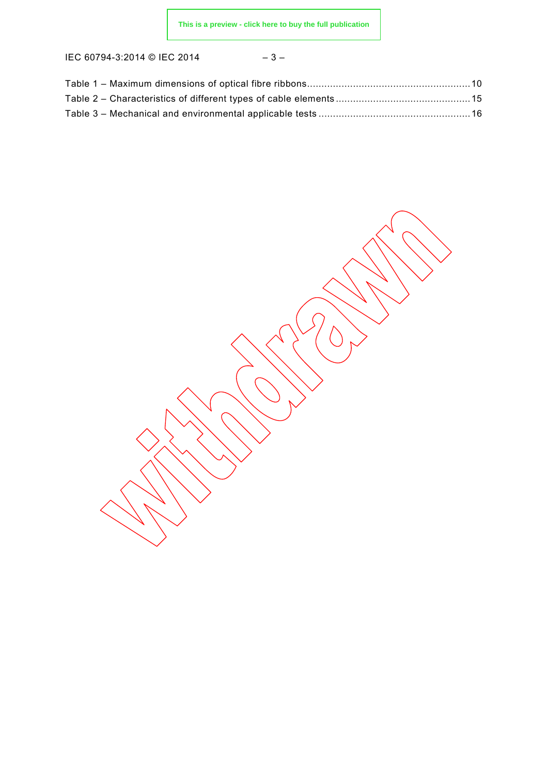IEC 60794-3:2014 © IEC 2014 – 3 –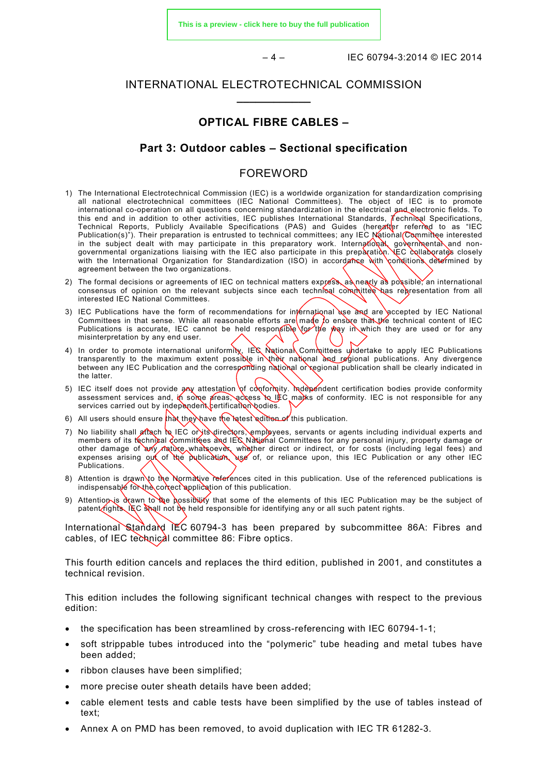**[This is a preview - click here to buy the full publication](https://webstore.iec.ch/publication/3504&preview)**

– 4 – IEC 60794-3:2014 © IEC 2014

# INTERNATIONAL ELECTROTECHNICAL COMMISSION **\_\_\_\_\_\_\_\_\_\_\_\_**

#### **OPTICAL FIBRE CABLES –**

#### **Part 3: Outdoor cables – Sectional specification**

#### FOREWORD

- <span id="page-3-0"></span>1) The International Electrotechnical Commission (IEC) is a worldwide organization for standardization comprising all national electrotechnical committees (IEC National Committees). The object of IEC is to promote international co-operation on all questions concerning standardization in the electrical and electronic fields. To this end and in addition to other activities, IEC publishes International Standards,  $\vec{l}$  echnical Specifications, Technical Reports, Publicly Available Specifications (PAS) and Guides (hereafter referred to as "IEC Publication(s)"). Their preparation is entrusted to technical committees; any IEC National Committee interested in the subject dealt with may participate in this preparatory work. Internation্al, governmental and nongovernmental organizations liaising with the IEC also participate in this prepàratiòn. \EC collaborates closely with the International Organization for Standardization (ISO) in accordance with conditions determined by agreement between the two organizations.
- 2) The formal decisions or agreements of IEC on technical matters express, as nearly as possible, an international consensus of opinion on the relevant subjects since each technical committee has representation from all interested IEC National Committees.
- 3) IEC Publications have the form of recommendations for international use and are accepted by IEC National Committees in that sense. While all reasonable efforts <u>a</u>re made *t*o ensixe that the technical content of IEC Publications is accurate, IEC cannot be held responsible (or the way in which they are used or for any misinterpretation by any end user.
- 4) In order to promote international uniformity, IEC National Committees undertake to apply IEC Publications transparently to the maximum extent possible in their national and regional publications. Any divergence between any IEC Publication and the corresponding national or regional publication shall be clearly indicated in the latter.
- 5) IEC itself does not provide any attestation of conformity. Independent certification bodies provide conformity assessment services and, in some areas, access to IEC maiks of conformity. IEC is not responsible for any services carried out by independent certification bodies.
- 6) All users should ensure that the have the latest edition of this publication.
- 7) No liability shall attach to IEC or its directors, employees, servants or agents including individual experts and members of its technical committees and IEC National Committees for any personal injury, property damage or other damage of any nature whatsoever, whether direct or indirect, or for costs (including legal fees) and expenses arising out of the publication, use of, or reliance upon, this IEC Publication or any other IEC Publications.
- 8) Attention is drawn to the Normative references cited in this publication. Use of the referenced publications is indispensable for the correct application of this publication.
- 9) Attention is drawn to the possibility that some of the elements of this IEC Publication may be the subject of patent  $r$ ights. IEC shall not be held responsible for identifying any or all such patent rights.

International Standard IEC 60794-3 has been prepared by subcommittee 86A: Fibres and cables, of IEC technical committee 86: Fibre optics.

This fourth edition cancels and replaces the third edition, published in 2001, and constitutes a technical revision.

This edition includes the following significant technical changes with respect to the previous edition:

- the specification has been streamlined by cross-referencing with IEC 60794-1-1;
- soft strippable tubes introduced into the "polymeric" tube heading and metal tubes have been added;
- ribbon clauses have been simplified;
- more precise outer sheath details have been added;
- cable element tests and cable tests have been simplified by the use of tables instead of text;
- Annex A on PMD has been removed, to avoid duplication with IEC TR 61282-3.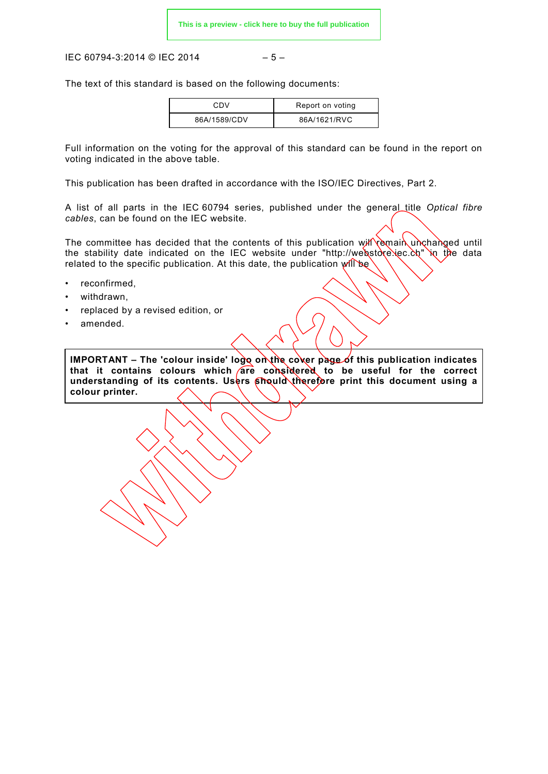IEC 60794-3:2014 © IEC 2014 – 5 –

The text of this standard is based on the following documents:

| CDV          | Report on voting |
|--------------|------------------|
| 86A/1589/CDV | 86A/1621/RVC     |

Full information on the voting for the approval of this standard can be found in the report on voting indicated in the above table.

This publication has been drafted in accordance with the ISO/IEC Directives, Part 2.

A list of all parts in the IEC 60794 series, published under the general title *Optical fibre cables*, can be found on the IEC website.

The committee has decided that the contents of this publication will remain unchanged until the stability date indicated on the IEC website under "http://webstorexec.ch" in the data related to the specific publication. At this date, the publication will be

- reconfirmed,
- withdrawn,
- replaced by a revised edition, or
- amended.

**IMPORTANT – The 'colour inside' logo on the cover page of this publication indicates** that it contains colours which are considered to be useful for the correct understanding of its contents. Users Should therefore print this document using a **colour printer.**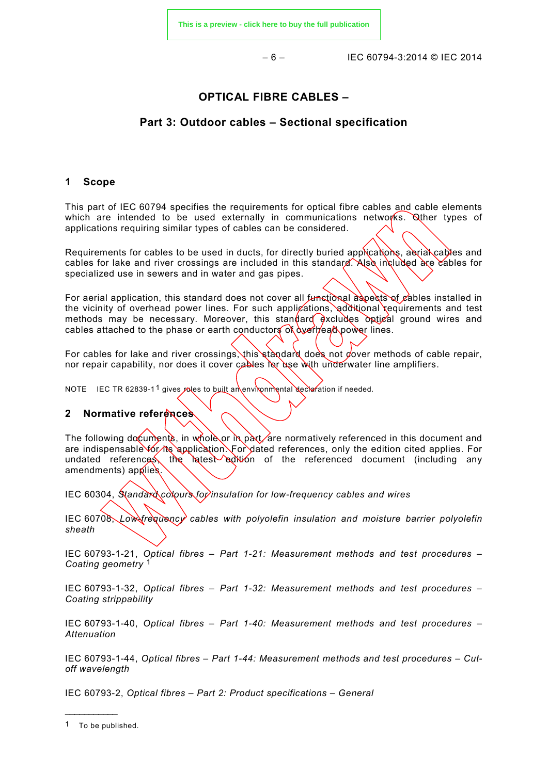– 6 – IEC 60794-3:2014 © IEC 2014

# **OPTICAL FIBRE CABLES –**

#### **Part 3: Outdoor cables – Sectional specification**

#### <span id="page-5-0"></span>**1 Scope**

This part of IEC 60794 specifies the requirements for optical fibre cables and cable elements which are intended to be used externally in communications networks. Other types of applications requiring similar types of cables can be considered.

Requirements for cables to be used in ducts, for directly buried applications, aerial cables and cables for lake and river crossings are included in this standard. Also included are cables for specialized use in sewers and in water and gas pipes.

For aerial application, this standard does not cover all functional aspects of cables installed in the vicinity of overhead power lines. For such applications, additional requirements and test methods may be necessary. Moreover, this standard excludes optizal ground wires and cables attached to the phase or earth conductors  $\alpha$  overhead power lines.

For cables for lake and river crossings, this standard does not dover methods of cable repair, nor repair capability, nor does it cover cables for use with underwater line amplifiers.

NOTE IEC TR 62839-[1](#page-5-2)<sup>1</sup> gives roles to built an environmental declaration if needed.

#### <span id="page-5-1"></span>**2 Normative references**

The following documents, in whole or in part/are normatively referenced in this document and are indispensable for its application. For dated references, only the edition cited applies. For undated references, the latest edition of the referenced document (including any amendments) applies.

IEC 60304, *Standard colours for insulation for low-frequency cables and wires*

IEC 60708, *Low-frequency cables with polyolefin insulation and moisture barrier polyolefin sheath*

IEC 60793-1-21, *Optical fibres – Part 1-21: Measurement methods and test procedures – Coating geometry* <sup>1</sup>

IEC 60793-1-32, *Optical fibres – Part 1-32: Measurement methods and test procedures – Coating strippability*

IEC 60793-1-40, *Optical fibres – Part 1-40: Measurement methods and test procedures – Attenuation*

IEC 60793-1-44, *Optical fibres – Part 1-44: Measurement methods and test procedures – Cutoff wavelength*

IEC 60793-2, *Optical fibres – Part 2: Product specifications – General*

\_\_\_\_\_\_\_\_\_\_\_

<span id="page-5-2"></span><sup>1</sup> To be published.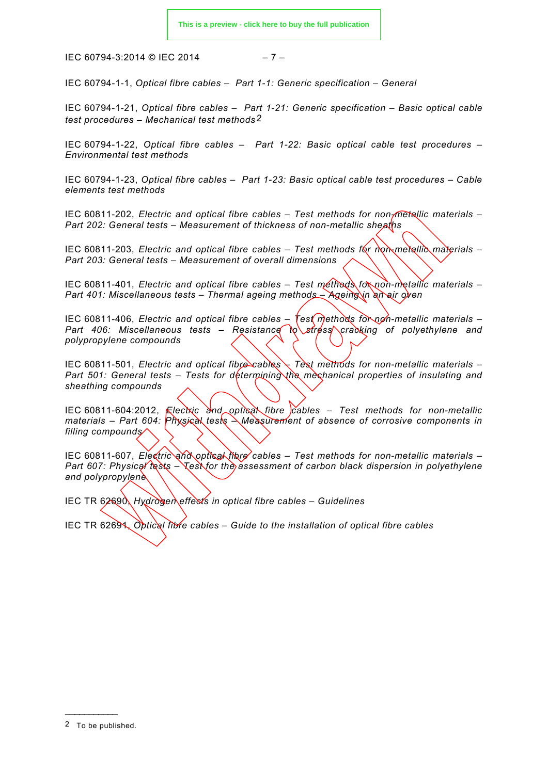IEC 60794-3:2014 © IEC 2014

$$
-7-
$$

IEC 60794-1-1, *Optical fibre cables – Part 1-1: Generic specification – General*

IEC 60794-1-21, *Optical fibre cables – Part 1-21: Generic specification – Basic optical cable test procedures – Mechanical test methods[2](#page-6-3)*

IEC 60794-1-22, *Optical fibre cables – Part 1-22: Basic optical cable test procedures – Environmental test methods*

IEC 60794-1-23, *Optical fibre cables – Part 1-23: Basic optical cable test procedures – Cable elements test methods*

IEC 60811-202, *Electric and optical fibre cables – Test methods for non-metallic materials – Part 202: General tests – Measurement of thickness of non-metallic sheaths*

IEC 60811-203, *Electric and optical fibre cables – Test methods for non-metallic materials – Part 203: General tests – Measurement of overall dimensions*

IEC 60811-401, *Electric and optical fibre cables – Test methods for non-metallic materials – Part 401: Miscellaneous tests – Thermal ageing methods – Ageing in an air oven*

IEC 60811-406, *Electric and optical fibre cables – Test methods for non-metallic materials –*<br>Part 406: Miscellaneous tests – Resistance to stress cracking of polyethylene and *Part 406: Miscellaneous tests – Resistance to stress polypropylene compounds*

IEC 60811-501, *Electric and optical fibre cables – Test methods for non-metallic materials – Part 501: General tests – Tests for determining the mechanical properties of insulating and sheathing compounds*

IEC 60811-604:2012, *Electric and optical fibre cables – Test methods for non-metallic materials – Part 604: Physical tests – Measurement of absence of corrosive components in filling compounds*

IEC 60811-607, *Electric and optical fibre cables – Test methods for non-metallic materials – Part 607: Physical tests – Test for the assessment of carbon black dispersion in polyethylene*  and polypropylene

IEC TR 62690, *Hydrogen effects in optical fibre cables – Guidelines*

<span id="page-6-1"></span><span id="page-6-0"></span>IEC TR 62691, *Optical fibre cables – Guide to the installation of optical fibre cables*

<span id="page-6-2"></span>\_\_\_\_\_\_\_\_\_\_\_

<span id="page-6-3"></span><sup>2</sup> To be published.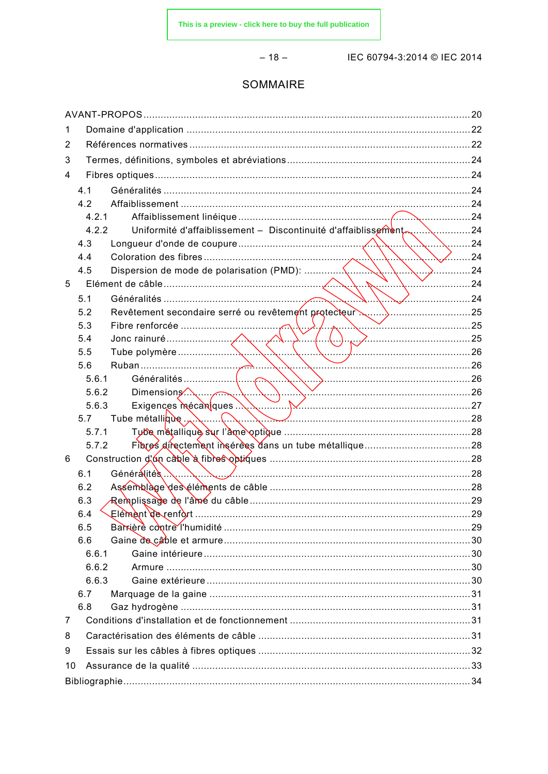$-18-$ 

IEC 60794-3:2014 © IEC 2014

# SOMMAIRE

| 1 |                                                                               |                                        |  |  |
|---|-------------------------------------------------------------------------------|----------------------------------------|--|--|
| 2 |                                                                               |                                        |  |  |
| 3 |                                                                               |                                        |  |  |
| 4 |                                                                               |                                        |  |  |
|   | 4.1                                                                           |                                        |  |  |
|   | 4.2                                                                           |                                        |  |  |
|   | 4.2.1                                                                         |                                        |  |  |
|   | Uniformité d'affaiblissement - Discontinuité d'affaiblissement<br>4.2.2       |                                        |  |  |
|   | 4.3                                                                           | $\ldots$ 24                            |  |  |
|   | 4.4                                                                           | $\ldots$ $\ldots$ 24                   |  |  |
|   | 4.5                                                                           | $\left\langle \ldots \right\rangle$ 24 |  |  |
| 5 |                                                                               | $\sim$ 24                              |  |  |
|   | 5.1                                                                           | $\searrow$ 24                          |  |  |
|   | Revêtement secondaire serré ou revêtement protecteur manus manument 25<br>5.2 |                                        |  |  |
|   | 5.3                                                                           |                                        |  |  |
|   | $\langle \ldots \rangle \ldots \rangle$<br>5.4                                |                                        |  |  |
|   | 5.5                                                                           |                                        |  |  |
|   | 5.6<br>$\sim$ 26                                                              |                                        |  |  |
|   | 5.6.1                                                                         |                                        |  |  |
|   | 5.6.2                                                                         |                                        |  |  |
|   | Dimensions<br>Exigences mécaniques<br>Tube métallique<br>5.6.3                |                                        |  |  |
|   | 5.7                                                                           |                                        |  |  |
|   | 5.7.1                                                                         |                                        |  |  |
|   | 5.7.2                                                                         |                                        |  |  |
| 6 |                                                                               |                                        |  |  |
|   | 28<br>6.1<br>Généralités                                                      |                                        |  |  |
|   | 6.2                                                                           |                                        |  |  |
|   | 6.3                                                                           |                                        |  |  |
|   | 6.4                                                                           |                                        |  |  |
|   | 6.5<br>6.6                                                                    |                                        |  |  |
|   | 6.6.1                                                                         |                                        |  |  |
|   | 6.6.2                                                                         |                                        |  |  |
|   | 6.6.3                                                                         |                                        |  |  |
|   | 6.7                                                                           |                                        |  |  |
|   | 6.8                                                                           |                                        |  |  |
| 7 |                                                                               |                                        |  |  |
| 8 |                                                                               |                                        |  |  |
|   |                                                                               |                                        |  |  |
| 9 |                                                                               |                                        |  |  |
|   | 10                                                                            |                                        |  |  |
|   |                                                                               |                                        |  |  |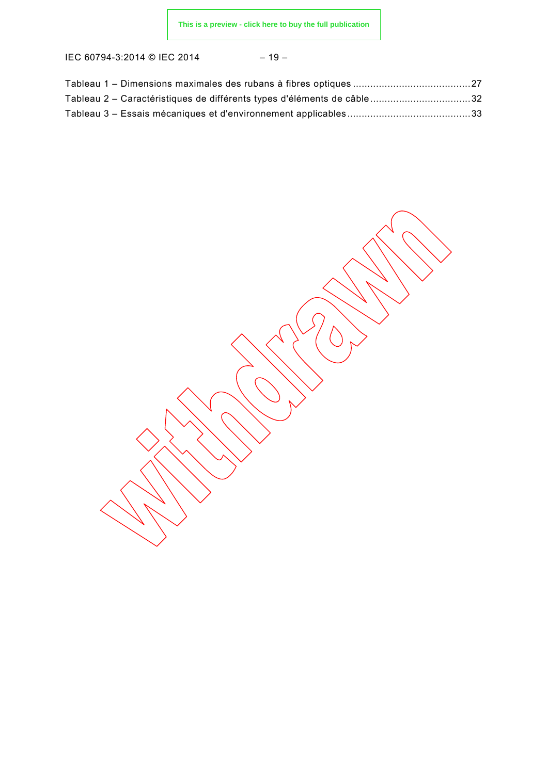IEC 60794-3:2014 © IEC 2014 – 19 –

| Tableau 2 – Caractéristiques de différents types d'éléments de câble32 |  |
|------------------------------------------------------------------------|--|
|                                                                        |  |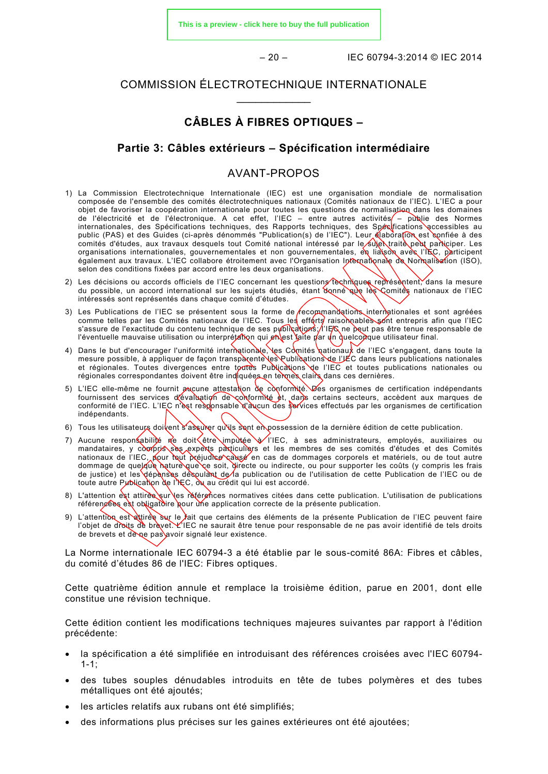– 20 – IEC 60794-3:2014 © IEC 2014

# COMMISSION ÉLECTROTECHNIQUE INTERNATIONALE  $\overline{\phantom{a}}$

#### **CÂBLES À FIBRES OPTIQUES –**

#### **Partie 3: Câbles extérieurs – Spécification intermédiaire**

#### AVANT-PROPOS

- <span id="page-9-0"></span>1) La Commission Electrotechnique Internationale (IEC) est une organisation mondiale de normalisation composée de l'ensemble des comités électrotechniques nationaux (Comités nationaux de l'IEC). L'IEC a pour objet de favoriser la coopération internationale pour toutes les questions de normalisation dans les domaines de l'électricité et de l'électronique. A cet effet, l'IEC – entre autres activités – publie des Normes internationales, des Spécifications techniques, des Rapports techniques, des Spécifications accessibles au public (PAS) et des Guides (ci-après dénommés "Publication(s) de l'IEC"). Leur élaboration est confiée à des comités d'études, aux travaux desquels tout Comité national intéressé par le sujet traité peut participer. Les organisations internationales, gouvernementales et non gouvernementales, e**n liaïson avec l'IEC, pa**rticipent également aux travaux. L'IEC collabore étroitement avec l'Organisation Internationale de Normalisation (ISO), selon des conditions fixées par accord entre les deux organisations.
- 2) Les décisions ou accords officiels de l'IEC concernant les questions techniques représentent, dans la mesure du possible, un accord international sur les sujets étudiés, étant donné que les Comités nationaux de l'IEC intéressés sont représentés dans chaque comité d'études.
- 3) Les Publications de l'IEC se présentent sous la forme de *fecommandations* intermationales et sont agréées comme telles par les Comités nationaux de l'IEC. Tous les efforts raisonnables sont entrepris afin que l'IEC. s'assure de l'exactitude du contenu technique de ses pµblications;/l'IE⁄Q ne peut pas être tenue responsable de l'éventuelle mauvaise utilisation ou interprétation qui en est faite par un quelcorque utilisateur final.
- 4) Dans le but d'encourager l'uniformité internationale, les Comités nationaux de l'IEC s'engagent, dans toute la mesure possible, à appliquer de façon transparente les Publications de l'IEC dans leurs publications nationales et régionales. Toutes divergences entre toutes Publications de l'IEC et toutes publications nationales ou régionales correspondantes doivent être indiquées en termes clairs dans ces dernières.
- 5) L'IEC elle-même ne fournit aucune attestation de conformité. Des organismes de certification indépendants fournissent des services d'évaluation de conformité et, dans certains secteurs, accèdent aux marques de conformité de l'IEC. L'IEC n'èst responsable d'aucun des services effectués par les organismes de certification indépendants.
- 6) Tous les utilisateurs doivent s'assurer qu'ils sont en possession de la dernière édition de cette publication.
- 7) Aucune responsabilité ne doit être imputée a l'IEC, à ses administrateurs, employés, auxiliaires ou mandataires, y còmpris ses experts particuliers et les membres de ses comités d'études et des Comités nationaux de l'IEC, pour tout préjudice causé en cas de dommages corporels et matériels, ou de tout autre dommage de quelque nature que ce soit, directe ou indirecte, ou pour supporter les coûts (y compris les frais de justice) et les dépenses découlant de la publication ou de l'utilisation de cette Publication de l'IEC ou de toute autre Publication de l'IEC, ou au crédit qui lui est accordé.
- 8) L'attention est attire sur les références normatives citées dans cette publication. L'utilisation de publications référencées est obligatoire pour une application correcte de la présente publication.
- 9) L'attention est attirée sur le fait que certains des éléments de la présente Publication de l'IEC peuvent faire l'objet de droits de brevet. L'IEC ne saurait être tenue pour responsable de ne pas avoir identifié de tels droits de brevets et de ne pas avoir signalé leur existence.

La Norme internationale IEC 60794-3 a été établie par le sous-comité 86A: Fibres et câbles, du comité d'études 86 de l'IEC: Fibres optiques.

Cette quatrième édition annule et remplace la troisième édition, parue en 2001, dont elle constitue une révision technique.

Cette édition contient les modifications techniques majeures suivantes par rapport à l'édition précédente:

- la spécification a été simplifiée en introduisant des références croisées avec l'IEC 60794- 1-1;
- des tubes souples dénudables introduits en tête de tubes polymères et des tubes métalliques ont été ajoutés;
- les articles relatifs aux rubans ont été simplifiés;
- des informations plus précises sur les gaines extérieures ont été ajoutées;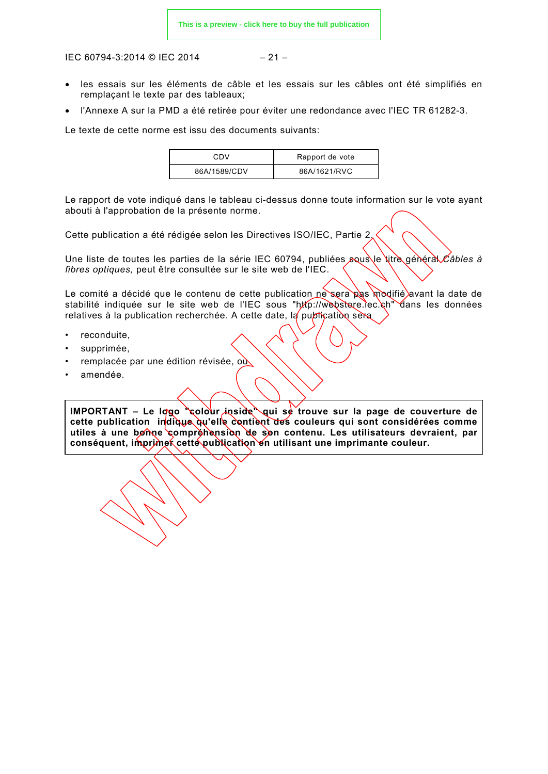IEC 60794-3:2014 © IEC 2014 – 21 –

- les essais sur les éléments de câble et les essais sur les câbles ont été simplifiés en remplaçant le texte par des tableaux;
- l'Annexe A sur la PMD a été retirée pour éviter une redondance avec l'IEC TR 61282-3.

Le texte de cette norme est issu des documents suivants:

| CDV          | Rapport de vote |
|--------------|-----------------|
| 86A/1589/CDV | 86A/1621/RVC    |

Le rapport de vote indiqué dans le tableau ci-dessus donne toute information sur le vote ayant abouti à l'approbation de la présente norme.

Cette publication a été rédigée selon les Directives ISO/IEC, Partie 2.

Une liste de toutes les parties de la série IEC 60794, publiées sous le titre général *Câbles à fibres optiques,* peut être consultée sur le site web de l'IEC.

Le comité a décidé que le contenu de cette publication ne sera pas modifié avant la date de stabilité indiquée sur le site web de l'IEC sous "http://webstore.lec.ch" dans les données relatives à la publication recherchée. A cette date, la publication sera

- reconduite,
- supprimée,
- remplacée par une édition révisée, où
- amendée.

**IMPORTANT – Le logo "colour inside" qui se trouve sur la page de couverture de**  cette publication indique qu'elle contient des couleurs qui sont considérées comme utiles à une bønne comprehension de son contenu. Les utilisateurs devraient, par conséquent, imprimer cette publication en utilisant une imprimante couleur.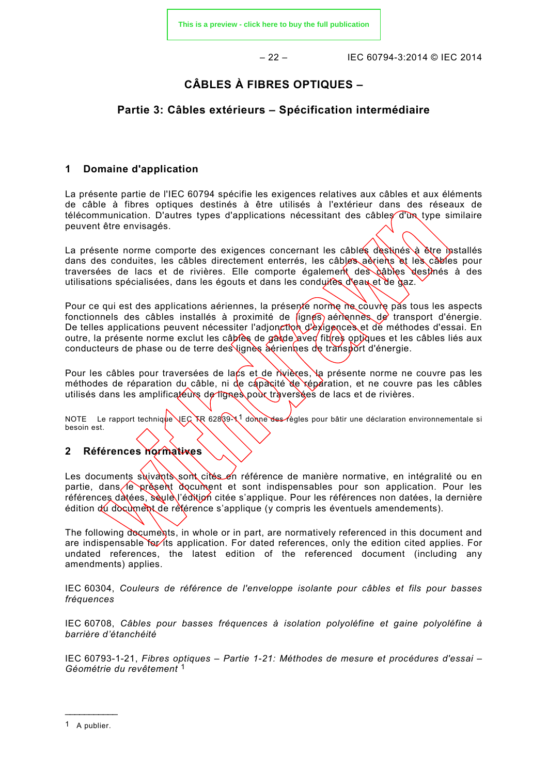– 22 – IEC 60794-3:2014 © IEC 2014

# **CÂBLES À FIBRES OPTIQUES –**

### **Partie 3: Câbles extérieurs – Spécification intermédiaire**

#### <span id="page-11-0"></span>**1 Domaine d'application**

La présente partie de l'IEC 60794 spécifie les exigences relatives aux câbles et aux éléments de câble à fibres optiques destinés à être utilisés à l'extérieur dans des réseaux de télécommunication. D'autres types d'applications nécessitant des câbles d'un type similaire peuvent être envisagés.

La présente norme comporte des exigences concernant les câbles destinés à être installés dans des conduites, les câbles directement enterrés, les câbles aériens et les câbles pour traversées de lacs et de rivières. Elle comporte également des câbles des través à des utilisations spécialisées, dans les égouts et dans les conduites d'eau et de gaz.

Pour ce qui est des applications aériennes, la présente norme ne couvre pas tous les aspects fonctionnels des câbles installés à proximité de  $\left(\frac{1}{2} \right)$  aériennes de transport d'énergie. De telles applications peuvent nécessiter l'adjonction d'exigences et de méthodes d'essai. En outre, la présente norme exclut les câbles de garde avec fibres optiques et les câbles liés aux conducteurs de phase ou de terre des lignes aériennes de transport d'énergie.

Pour les câbles pour traversées de lacs et de rivières, la présente norme ne couvre pas les méthodes de réparation du câble, ni de capacité de réparation, et ne couvre pas les câbles utilisés dans les amplificatéurs de lignes pour traversées de lacs et de rivières.

NOTE Le rapport technique JEC RR 62839-1[1](#page-11-2) donne des règles pour bâtir une déclaration environnementale si besoin est.

#### <span id="page-11-1"></span>**2 Références normatives**

Les documents suivants sont cités en référence de manière normative, en intégralité ou en partie, dans le présent document et sont indispensables pour son application. Pour les références datées, seule l'édition citée s'applique. Pour les références non datées, la dernière édition du document de référence s'applique (y compris les éventuels amendements).

The following documents, in whole or in part, are normatively referenced in this document and are indispensable for its application. For dated references, only the edition cited applies. For undated references, the latest edition of the referenced document (including any amendments) applies.

IEC 60304, *Couleurs de référence de l'enveloppe isolante pour câbles et fils pour basses fréquences*

IEC 60708, *Câbles pour basses fréquences à isolation polyoléfine et gaine polyoléfine à barrière d'étanchéité*

IEC 60793-1-21, *Fibres optiques – Partie 1-21: Méthodes de mesure et procédures d'essai – Géométrie du revêtement* <sup>1</sup>

<span id="page-11-2"></span>\_\_\_\_\_\_\_\_\_\_\_ 1 A publier.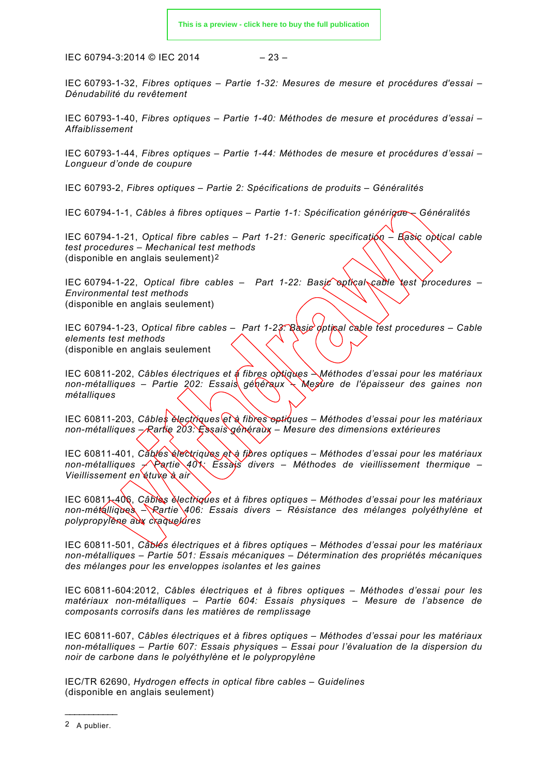IEC 60794-3:2014 © IEC 2014

$$
-23-
$$

IEC 60793-1-32, *Fibres optiques – Partie 1-32: Mesures de mesure et procédures d'essai – Dénudabilité du revêtement* 

IEC 60793-1-40, *Fibres optiques – Partie 1-40: Méthodes de mesure et procédures d'essai – Affaiblissement*

IEC 60793-1-44, *Fibres optiques – Partie 1-44: Méthodes de mesure et procédures d'essai – Longueur d'onde de coupure*

IEC 60793-2, *Fibres optiques – Partie 2: Spécifications de produits – Généralités*

IEC 60794-1-1, *Câbles à fibres optiques – Partie 1-1: Spécification générique – Généralités*

IEC 60794-1-21, *Optical fibre cables – Part 1-21: Generic specification – Basic optical cable test procedures – Mechanical test methods*  (disponible en anglais seulement) [2](#page-12-0)

IEC 60794-1-22, *Optical fibre cables – Part 1-22: Basic optical cable test procedures – Environmental test methods*  (disponible en anglais seulement)

IEC 60794-1-23, *Optical fibre cables – Part 1-23: Basic optical cable test procedures – Cable elements test methods*  (disponible en anglais seulement

IEC 60811-202, *Câbles électriques et à fibres optiques*  $\lambda$ Méthodes d'essai pour les matériaux non-métalliques – Partie 202: Essais généraux  $\lambda$  Mesure de l'épaisseur des gaines non *non-métalliques – Partie 202: Essais généraux métalliques*

IEC 60811-203, *Câbles électriques et à fibres optiques – Méthodes d'essai pour les matériaux non-métalliques – Partie 203: Essais généraux – Mesure des dimensions extérieures*

IEC 60811-401, *Câbles électriques et à fibres optiques – Méthodes d'essai pour les matériaux non-métalliques – Partie 401: Essais divers – Méthodes de vieillissement thermique – Vieillissement en étuve à air*

IEC 60811-406, *Câbles électriques et à fibres optiques – Méthodes d'essai pour les matériaux non-métalliques – Partie 406: Essais divers – Résistance des mélanges polyéthylène et polypropylène aux craquelures*

IEC 60811-501, *Câbles électriques et à fibres optiques – Méthodes d'essai pour les matériaux non-métalliques – Partie 501: Essais mécaniques – Détermination des propriétés mécaniques des mélanges pour les enveloppes isolantes et les gaines*

IEC 60811-604:2012, *Câbles électriques et à fibres optiques – Méthodes d'essai pour les matériaux non-métalliques – Partie 604: Essais physiques – Mesure de l'absence de composants corrosifs dans les matières de remplissage*

IEC 60811-607, *Câbles électriques et à fibres optiques – Méthodes d'essai pour les matériaux non-métalliques – Partie 607: Essais physiques – Essai pour l'évaluation de la dispersion du noir de carbone dans le polyéthylène et le polypropylène* 

IEC/TR 62690, *Hydrogen effects in optical fibre cables – Guidelines*  (disponible en anglais seulement)

<span id="page-12-0"></span>\_\_\_\_\_\_\_\_\_\_\_ 2 A publier.